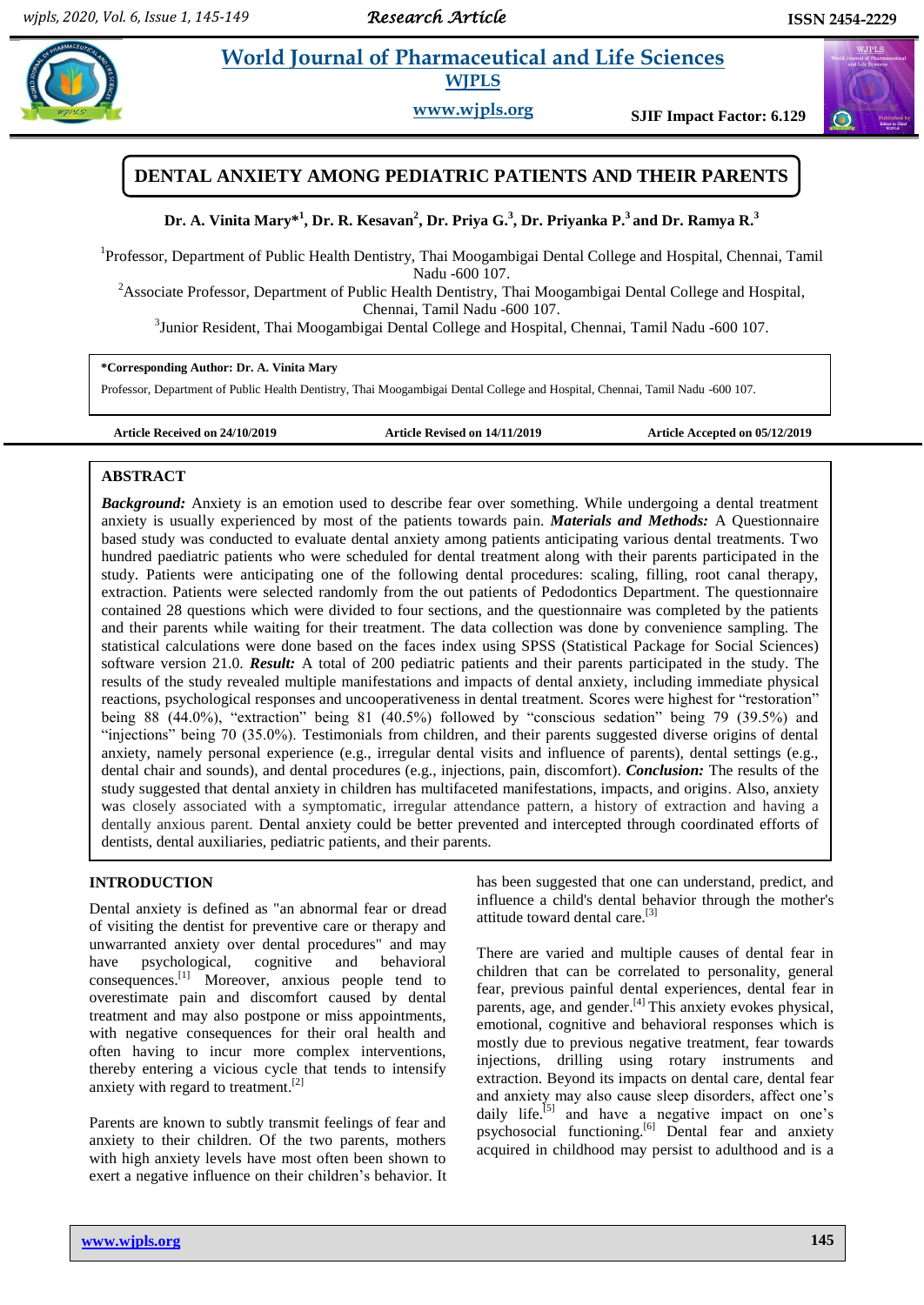$\omega$ 

# **Party** *i**World Journal of Pharmaceutical and Life Sciences* **WJPLS**

**www.wjpls.org SJIF Impact Factor: 6.129**

## **DENTAL ANXIETY AMONG PEDIATRIC PATIENTS AND THEIR PARENTS**

**Dr. A. Vinita Mary\* 1 , Dr. R. Kesavan<sup>2</sup> , Dr. Priya G.<sup>3</sup> , Dr. Priyanka P.<sup>3</sup>and Dr. Ramya R.<sup>3</sup>**

<sup>1</sup>Professor, Department of Public Health Dentistry, Thai Moogambigai Dental College and Hospital, Chennai, Tamil Nadu -600 107.

<sup>2</sup>Associate Professor, Department of Public Health Dentistry, Thai Moogambigai Dental College and Hospital, Chennai, Tamil Nadu -600 107.

<sup>3</sup>Junior Resident, Thai Moogambigai Dental College and Hospital, Chennai, Tamil Nadu -600 107.

**\*Corresponding Author: Dr. A. Vinita Mary**

Professor, Department of Public Health Dentistry, Thai Moogambigai Dental College and Hospital, Chennai, Tamil Nadu -600 107.

**Article Received on 24/10/2019 Article Revised on 14/11/2019 Article Accepted on 05/12/2019**

### **ABSTRACT**

*Background:* Anxiety is an emotion used to describe fear over something. While undergoing a dental treatment anxiety is usually experienced by most of the patients towards pain. *Materials and Methods:* A Questionnaire based study was conducted to evaluate dental anxiety among patients anticipating various dental treatments. Two hundred paediatric patients who were scheduled for dental treatment along with their parents participated in the study. Patients were anticipating one of the following dental procedures: scaling, filling, root canal therapy, extraction. Patients were selected randomly from the out patients of Pedodontics Department. The questionnaire contained 28 questions which were divided to four sections, and the questionnaire was completed by the patients and their parents while waiting for their treatment. The data collection was done by convenience sampling. The statistical calculations were done based on the faces index using SPSS (Statistical Package for Social Sciences) software version 21.0. *Result:* A total of 200 pediatric patients and their parents participated in the study. The results of the study revealed multiple manifestations and impacts of dental anxiety, including immediate physical reactions, psychological responses and uncooperativeness in dental treatment. Scores were highest for "restoration" being 88 (44.0%), "extraction" being 81 (40.5%) followed by "conscious sedation" being 79 (39.5%) and "injections" being 70 (35.0%). Testimonials from children, and their parents suggested diverse origins of dental anxiety, namely personal experience (e.g., irregular dental visits and influence of parents), dental settings (e.g., dental chair and sounds), and dental procedures (e.g., injections, pain, discomfort). *Conclusion:* The results of the study suggested that dental anxiety in children has multifaceted manifestations, impacts, and origins. Also, anxiety was closely associated with a symptomatic, irregular attendance pattern, a history of extraction and having a dentally anxious parent. Dental anxiety could be better prevented and intercepted through coordinated efforts of dentists, dental auxiliaries, pediatric patients, and their parents.

### **INTRODUCTION**

Dental anxiety is defined as "an abnormal fear or dread of visiting the dentist for preventive care or therapy and unwarranted anxiety over dental procedures" and may have psychological, cognitive and behavioral consequences. [1] Moreover, anxious people tend to overestimate pain and discomfort caused by dental treatment and may also postpone or miss appointments, with negative consequences for their oral health and often having to incur more complex interventions, thereby entering a vicious cycle that tends to intensify anxiety with regard to treatment.<sup>[2]</sup>

Parents are known to subtly transmit feelings of fear and anxiety to their children. Of the two parents, mothers with high anxiety levels have most often been shown to exert a negative influence on their children's behavior. It has been suggested that one can understand, predict, and influence a child's dental behavior through the mother's attitude toward dental care.<sup>[3]</sup>

There are varied and multiple causes of dental fear in children that can be correlated to personality, general fear, previous painful dental experiences, dental fear in parents, age, and gender.<sup>[4]</sup> This anxiety evokes physical, emotional, cognitive and behavioral responses which is mostly due to previous negative treatment, fear towards injections, drilling using rotary instruments and extraction. Beyond its impacts on dental care, dental fear and anxiety may also cause sleep disorders, affect one"s daily life.<sup>[5]</sup> and have a negative impact on one's psychosocial functioning.<sup>[6]</sup> Dental fear and anxiety acquired in childhood may persist to adulthood and is a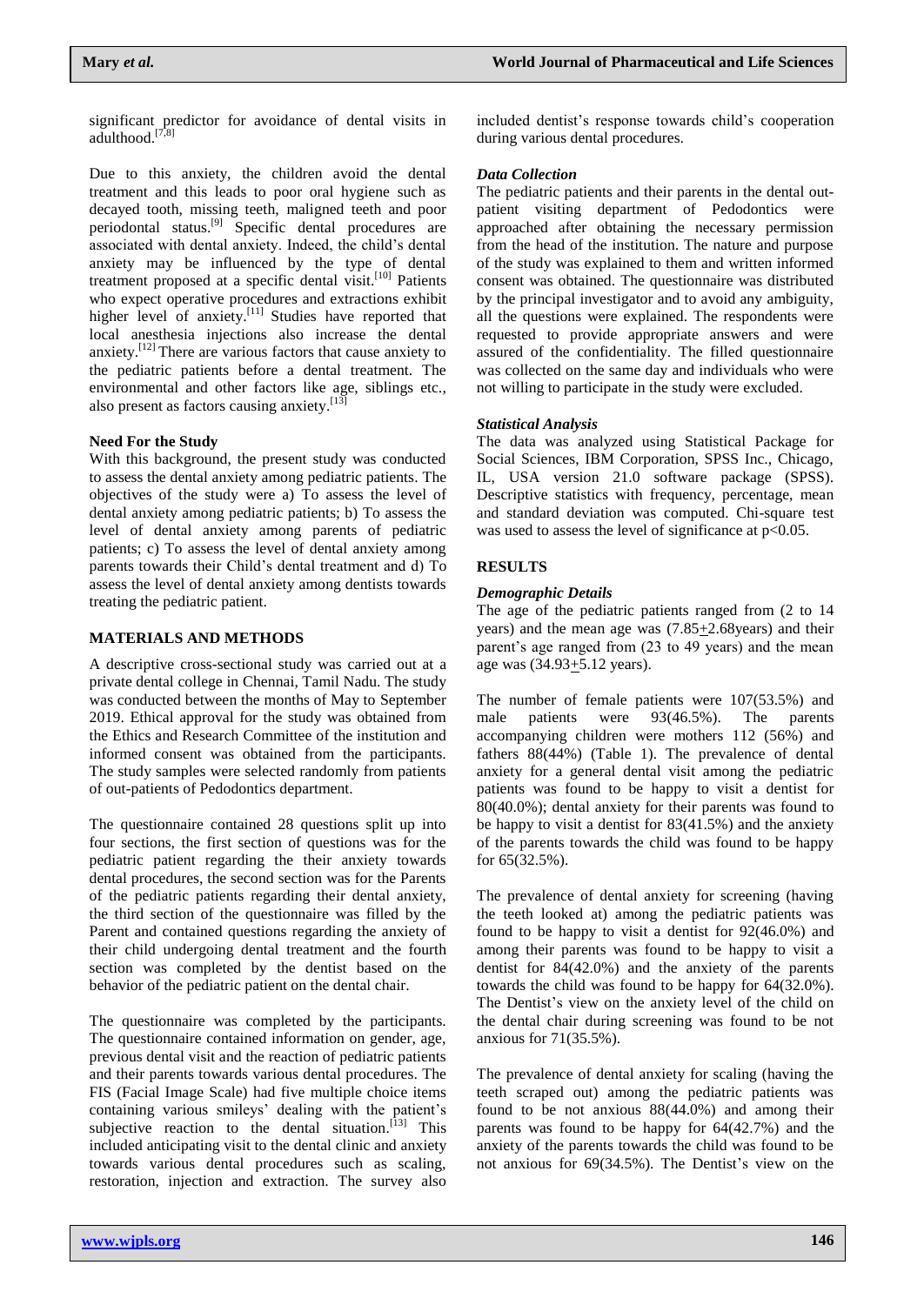significant predictor for avoidance of dental visits in adulthood.<sup>[7,8]</sup>

Due to this anxiety, the children avoid the dental treatment and this leads to poor oral hygiene such as decayed tooth, missing teeth, maligned teeth and poor periodontal status.<sup>[9]</sup> Specific dental procedures are associated with dental anxiety. Indeed, the child"s dental anxiety may be influenced by the type of dental treatment proposed at a specific dental visit.<sup>[10]</sup> Patients who expect operative procedures and extractions exhibit higher level of anxiety.<sup>[11]</sup> Studies have reported that local anesthesia injections also increase the dental anxiety.<sup>[12]</sup> There are various factors that cause anxiety to the pediatric patients before a dental treatment. The environmental and other factors like age, siblings etc., also present as factors causing anxiety.<sup>[13]</sup>

## **Need For the Study**

With this background, the present study was conducted to assess the dental anxiety among pediatric patients. The objectives of the study were a) To assess the level of dental anxiety among pediatric patients; b) To assess the level of dental anxiety among parents of pediatric patients; c) To assess the level of dental anxiety among parents towards their Child"s dental treatment and d) To assess the level of dental anxiety among dentists towards treating the pediatric patient.

## **MATERIALS AND METHODS**

A descriptive cross-sectional study was carried out at a private dental college in Chennai, Tamil Nadu. The study was conducted between the months of May to September 2019. Ethical approval for the study was obtained from the Ethics and Research Committee of the institution and informed consent was obtained from the participants. The study samples were selected randomly from patients of out-patients of Pedodontics department.

The questionnaire contained 28 questions split up into four sections, the first section of questions was for the pediatric patient regarding the their anxiety towards dental procedures, the second section was for the Parents of the pediatric patients regarding their dental anxiety, the third section of the questionnaire was filled by the Parent and contained questions regarding the anxiety of their child undergoing dental treatment and the fourth section was completed by the dentist based on the behavior of the pediatric patient on the dental chair.

The questionnaire was completed by the participants. The questionnaire contained information on gender, age, previous dental visit and the reaction of pediatric patients and their parents towards various dental procedures. The FIS (Facial Image Scale) had five multiple choice items containing various smileys' dealing with the patient's subjective reaction to the dental situation.  $\left[13\right]$  This included anticipating visit to the dental clinic and anxiety towards various dental procedures such as scaling, restoration, injection and extraction. The survey also

included dentist"s response towards child"s cooperation during various dental procedures.

## *Data Collection*

The pediatric patients and their parents in the dental outpatient visiting department of Pedodontics were approached after obtaining the necessary permission from the head of the institution. The nature and purpose of the study was explained to them and written informed consent was obtained. The questionnaire was distributed by the principal investigator and to avoid any ambiguity, all the questions were explained. The respondents were requested to provide appropriate answers and were assured of the confidentiality. The filled questionnaire was collected on the same day and individuals who were not willing to participate in the study were excluded.

## *Statistical Analysis*

The data was analyzed using Statistical Package for Social Sciences, IBM Corporation, SPSS Inc., Chicago, IL, USA version 21.0 software package (SPSS). Descriptive statistics with frequency, percentage, mean and standard deviation was computed. Chi-square test was used to assess the level of significance at  $p<0.05$ .

## **RESULTS**

## *Demographic Details*

The age of the pediatric patients ranged from (2 to 14 years) and the mean age was (7.85+2.68years) and their parent's age ranged from  $(23 \text{ to } 49 \text{ years})$  and the mean age was  $(34.93 + 5.12 \text{ years})$ .

The number of female patients were 107(53.5%) and male patients were 93(46.5%). The parents accompanying children were mothers 112 (56%) and fathers 88(44%) (Table 1). The prevalence of dental anxiety for a general dental visit among the pediatric patients was found to be happy to visit a dentist for 80(40.0%); dental anxiety for their parents was found to be happy to visit a dentist for 83(41.5%) and the anxiety of the parents towards the child was found to be happy for 65(32.5%).

The prevalence of dental anxiety for screening (having the teeth looked at) among the pediatric patients was found to be happy to visit a dentist for 92(46.0%) and among their parents was found to be happy to visit a dentist for 84(42.0%) and the anxiety of the parents towards the child was found to be happy for 64(32.0%). The Dentist's view on the anxiety level of the child on the dental chair during screening was found to be not anxious for 71(35.5%).

The prevalence of dental anxiety for scaling (having the teeth scraped out) among the pediatric patients was found to be not anxious 88(44.0%) and among their parents was found to be happy for 64(42.7%) and the anxiety of the parents towards the child was found to be not anxious for 69(34.5%). The Dentist's view on the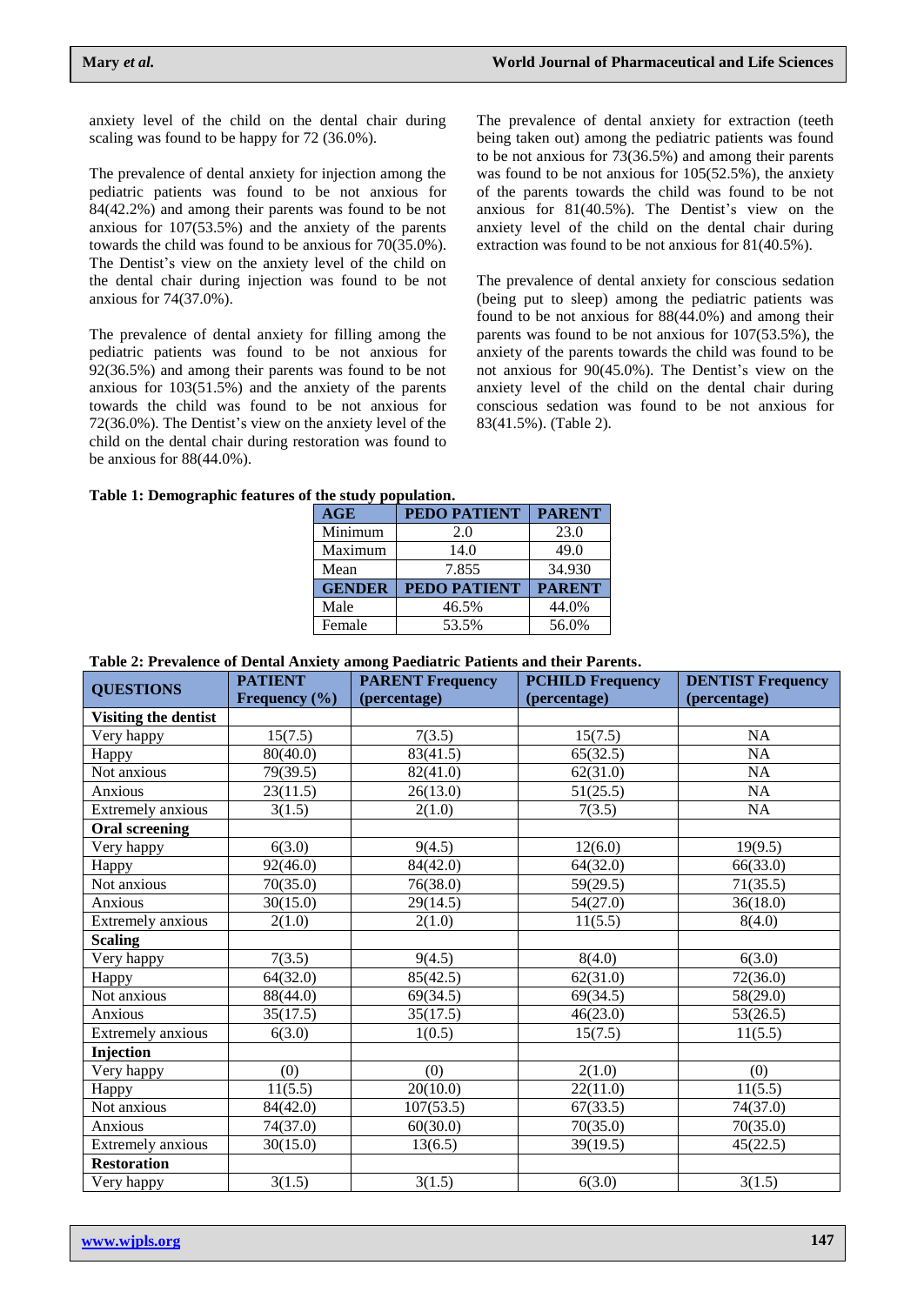anxiety level of the child on the dental chair during scaling was found to be happy for 72 (36.0%).

The prevalence of dental anxiety for injection among the pediatric patients was found to be not anxious for 84(42.2%) and among their parents was found to be not anxious for 107(53.5%) and the anxiety of the parents towards the child was found to be anxious for 70(35.0%). The Dentist's view on the anxiety level of the child on the dental chair during injection was found to be not anxious for 74(37.0%).

The prevalence of dental anxiety for filling among the pediatric patients was found to be not anxious for 92(36.5%) and among their parents was found to be not anxious for 103(51.5%) and the anxiety of the parents towards the child was found to be not anxious for 72(36.0%). The Dentist"s view on the anxiety level of the child on the dental chair during restoration was found to be anxious for 88(44.0%).

The prevalence of dental anxiety for extraction (teeth being taken out) among the pediatric patients was found to be not anxious for 73(36.5%) and among their parents was found to be not anxious for 105(52.5%), the anxiety of the parents towards the child was found to be not anxious for  $81(40.5\%)$ . The Dentist's view on the anxiety level of the child on the dental chair during extraction was found to be not anxious for 81(40.5%).

The prevalence of dental anxiety for conscious sedation (being put to sleep) among the pediatric patients was found to be not anxious for 88(44.0%) and among their parents was found to be not anxious for 107(53.5%), the anxiety of the parents towards the child was found to be not anxious for  $90(45.0\%)$ . The Dentist's view on the anxiety level of the child on the dental chair during conscious sedation was found to be not anxious for 83(41.5%). (Table 2).

#### **Table 1: Demographic features of the study population.**

| <b>PEDO PATIENT</b> | <b>PARENT</b> |
|---------------------|---------------|
| 2.0                 | 23.0          |
| 14.0                | 49.0          |
| 7.855               | 34.930        |
| <b>PEDO PATIENT</b> | <b>PARENT</b> |
| 46.5%               | 44.0%         |
| 53.5%               | 56.0%         |
|                     |               |

#### **Table 2: Prevalence of Dental Anxiety among Paediatric Patients and their Parents.**

| <b>QUESTIONS</b>      | <b>PATIENT</b> | <b>PARENT Frequency</b> | <b>PCHILD Frequency</b> | <b>DENTIST Frequency</b> |
|-----------------------|----------------|-------------------------|-------------------------|--------------------------|
|                       | Frequency (%)  | (percentage)            | (percentage)            | (percentage)             |
| Visiting the dentist  |                |                         |                         |                          |
| Very happy            | 15(7.5)        | 7(3.5)                  | 15(7.5)                 | <b>NA</b>                |
| Happy                 | 80(40.0)       | 83(41.5)                | 65(32.5)                | NA                       |
| Not anxious           | 79(39.5)       | 82(41.0)                | 62(31.0)                | NA                       |
| Anxious               | 23(11.5)       | 26(13.0)                | 51(25.5)                | NA                       |
| Extremely anxious     | 3(1.5)         | 2(1.0)                  | 7(3.5)                  | NA                       |
| <b>Oral screening</b> |                |                         |                         |                          |
| Very happy            | 6(3.0)         | 9(4.5)                  | 12(6.0)                 | 19(9.5)                  |
| Happy                 | 92(46.0)       | 84(42.0)                | 64(32.0)                | 66(33.0)                 |
| Not anxious           | 70(35.0)       | 76(38.0)                | 59(29.5)                | 71(35.5)                 |
| Anxious               | 30(15.0)       | 29(14.5)                | 54(27.0)                | 36(18.0)                 |
| Extremely anxious     | 2(1.0)         | 2(1.0)                  | 11(5.5)                 | 8(4.0)                   |
| <b>Scaling</b>        |                |                         |                         |                          |
| Very happy            | 7(3.5)         | 9(4.5)                  | 8(4.0)                  | 6(3.0)                   |
| Happy                 | 64(32.0)       | 85(42.5)                | 62(31.0)                | 72(36.0)                 |
| Not anxious           | 88(44.0)       | 69(34.5)                | 69(34.5)                | 58(29.0)                 |
| Anxious               | 35(17.5)       | 35(17.5)                | 46(23.0)                | 53(26.5)                 |
| Extremely anxious     | 6(3.0)         | 1(0.5)                  | 15(7.5)                 | 11(5.5)                  |
| Injection             |                |                         |                         |                          |
| Very happy            | (0)            | (0)                     | 2(1.0)                  | (0)                      |
| Happy                 | 11(5.5)        | 20(10.0)                | 22(11.0)                | 11(5.5)                  |
| Not anxious           | 84(42.0)       | 107(53.5)               | 67(33.5)                | 74(37.0)                 |
| Anxious               | 74(37.0)       | 60(30.0)                | 70(35.0)                | 70(35.0)                 |
| Extremely anxious     | 30(15.0)       | 13(6.5)                 | 39(19.5)                | 45(22.5)                 |
| <b>Restoration</b>    |                |                         |                         |                          |
| Very happy            | 3(1.5)         | 3(1.5)                  | 6(3.0)                  | 3(1.5)                   |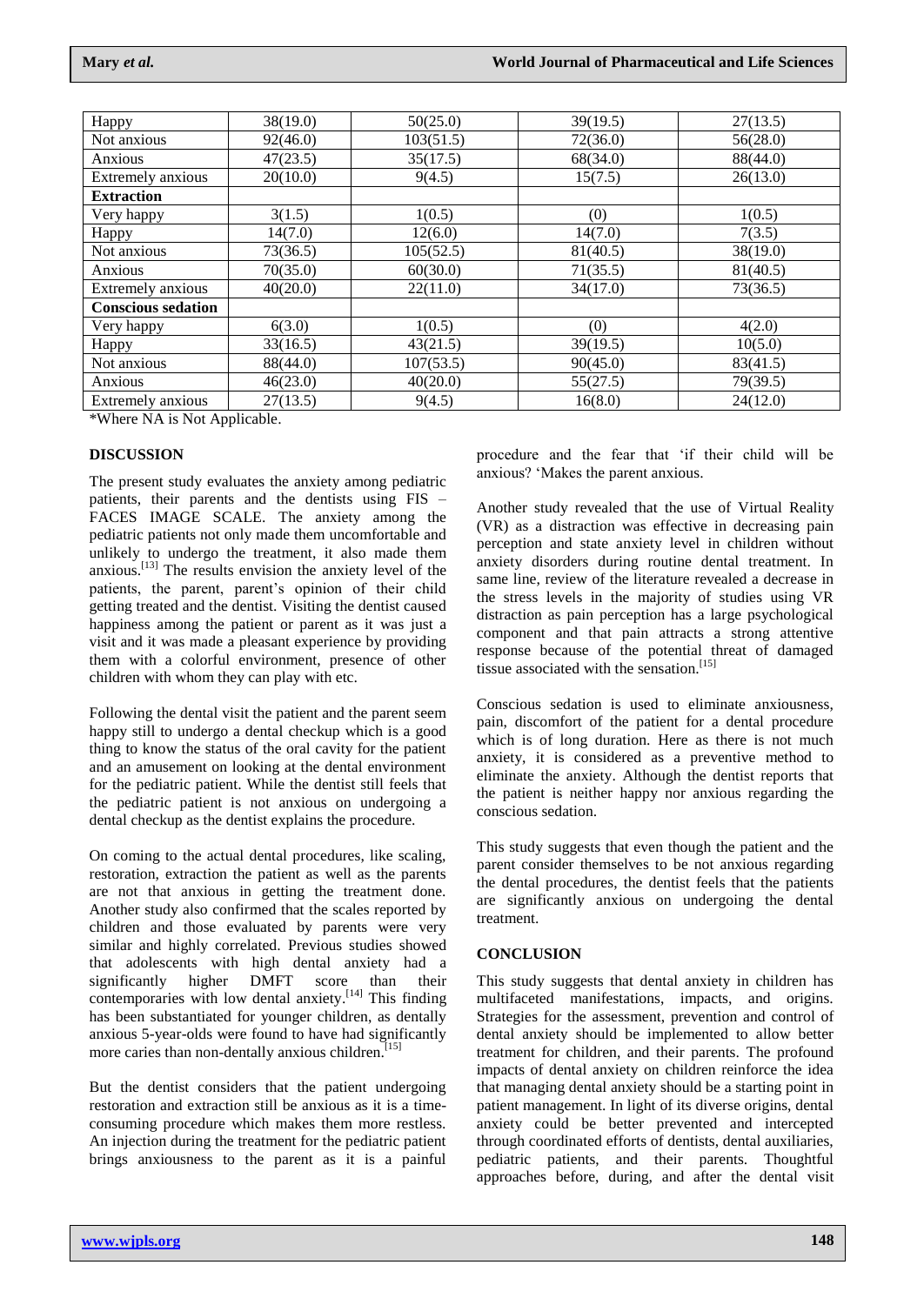| Happy                     | 38(19.0) | 50(25.0)  | 39(19.5) | 27(13.5) |
|---------------------------|----------|-----------|----------|----------|
| Not anxious               | 92(46.0) | 103(51.5) | 72(36.0) | 56(28.0) |
| Anxious                   | 47(23.5) | 35(17.5)  | 68(34.0) | 88(44.0) |
| Extremely anxious         | 20(10.0) | 9(4.5)    | 15(7.5)  | 26(13.0) |
| <b>Extraction</b>         |          |           |          |          |
| Very happy                | 3(1.5)   | 1(0.5)    | (0)      | 1(0.5)   |
| Happy                     | 14(7.0)  | 12(6.0)   | 14(7.0)  | 7(3.5)   |
| Not anxious               | 73(36.5) | 105(52.5) | 81(40.5) | 38(19.0) |
| Anxious                   | 70(35.0) | 60(30.0)  | 71(35.5) | 81(40.5) |
| Extremely anxious         | 40(20.0) | 22(11.0)  | 34(17.0) | 73(36.5) |
| <b>Conscious sedation</b> |          |           |          |          |
| Very happy                | 6(3.0)   | 1(0.5)    | (0)      | 4(2.0)   |
| Happy                     | 33(16.5) | 43(21.5)  | 39(19.5) | 10(5.0)  |
| Not anxious               | 88(44.0) | 107(53.5) | 90(45.0) | 83(41.5) |
| Anxious                   | 46(23.0) | 40(20.0)  | 55(27.5) | 79(39.5) |
| Extremely anxious         | 27(13.5) | 9(4.5)    | 16(8.0)  | 24(12.0) |

\*Where NA is Not Applicable.

### **DISCUSSION**

The present study evaluates the anxiety among pediatric patients, their parents and the dentists using FIS – FACES IMAGE SCALE. The anxiety among the pediatric patients not only made them uncomfortable and unlikely to undergo the treatment, it also made them anxious.<sup>[13]</sup> The results envision the anxiety level of the patients, the parent, parent"s opinion of their child getting treated and the dentist. Visiting the dentist caused happiness among the patient or parent as it was just a visit and it was made a pleasant experience by providing them with a colorful environment, presence of other children with whom they can play with etc.

Following the dental visit the patient and the parent seem happy still to undergo a dental checkup which is a good thing to know the status of the oral cavity for the patient and an amusement on looking at the dental environment for the pediatric patient. While the dentist still feels that the pediatric patient is not anxious on undergoing a dental checkup as the dentist explains the procedure.

On coming to the actual dental procedures, like scaling, restoration, extraction the patient as well as the parents are not that anxious in getting the treatment done. Another study also confirmed that the scales reported by children and those evaluated by parents were very similar and highly correlated. Previous studies showed that adolescents with high dental anxiety had a significantly higher DMFT score than their contemporaries with low dental anxiety.<sup>[14]</sup> This finding has been substantiated for younger children, as dentally anxious 5-year-olds were found to have had significantly more caries than non-dentally anxious children.<sup>[15]</sup>

But the dentist considers that the patient undergoing restoration and extraction still be anxious as it is a timeconsuming procedure which makes them more restless. An injection during the treatment for the pediatric patient brings anxiousness to the parent as it is a painful

procedure and the fear that "if their child will be anxious? "Makes the parent anxious.

Another study revealed that the use of Virtual Reality (VR) as a distraction was effective in decreasing pain perception and state anxiety level in children without anxiety disorders during routine dental treatment. In same line, review of the literature revealed a decrease in the stress levels in the majority of studies using VR distraction as pain perception has a large psychological component and that pain attracts a strong attentive response because of the potential threat of damaged tissue associated with the sensation.<sup>[15]</sup>

Conscious sedation is used to eliminate anxiousness, pain, discomfort of the patient for a dental procedure which is of long duration. Here as there is not much anxiety, it is considered as a preventive method to eliminate the anxiety. Although the dentist reports that the patient is neither happy nor anxious regarding the conscious sedation.

This study suggests that even though the patient and the parent consider themselves to be not anxious regarding the dental procedures, the dentist feels that the patients are significantly anxious on undergoing the dental treatment.

### **CONCLUSION**

This study suggests that dental anxiety in children has multifaceted manifestations, impacts, and origins. Strategies for the assessment, prevention and control of dental anxiety should be implemented to allow better treatment for children, and their parents. The profound impacts of dental anxiety on children reinforce the idea that managing dental anxiety should be a starting point in patient management. In light of its diverse origins, dental anxiety could be better prevented and intercepted through coordinated efforts of dentists, dental auxiliaries, pediatric patients, and their parents. Thoughtful approaches before, during, and after the dental visit